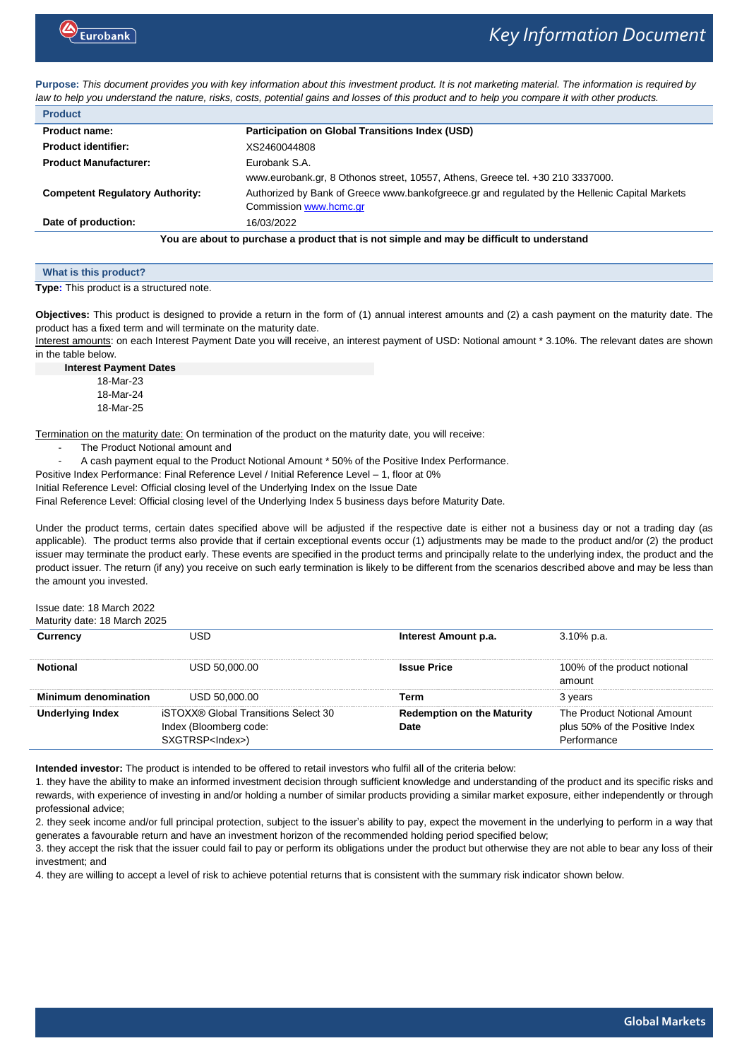

**Purpose:** *This document provides you with key information about this investment product. It is not marketing material. The information is required by law to help you understand the nature, risks, costs, potential gains and losses of this product and to help you compare it with other products.*

| <b>Product</b>                                                                                                                           |                                                                                |  |
|------------------------------------------------------------------------------------------------------------------------------------------|--------------------------------------------------------------------------------|--|
| Product name:                                                                                                                            | Participation on Global Transitions Index (USD)                                |  |
| <b>Product identifier:</b>                                                                                                               | XS2460044808                                                                   |  |
| <b>Product Manufacturer:</b>                                                                                                             | Eurobank S.A.                                                                  |  |
|                                                                                                                                          | www.eurobank.gr, 8 Othonos street, 10557, Athens, Greece tel. +30 210 3337000. |  |
| Authorized by Bank of Greece www.bankofgreece.gr and regulated by the Hellenic Capital Markets<br><b>Competent Regulatory Authority:</b> |                                                                                |  |
|                                                                                                                                          | Commission www.hcmc.gr                                                         |  |
| Date of production:                                                                                                                      | 16/03/2022                                                                     |  |
| You are about to purchase a product that is not simple and may be difficult to understand                                                |                                                                                |  |

| What is this product?                    |  |  |
|------------------------------------------|--|--|
| Type: This product is a structured note. |  |  |

**Objectives:** This product is designed to provide a return in the form of (1) annual interest amounts and (2) a cash payment on the maturity date. The product has a fixed term and will terminate on the maturity date.

Interest amounts: on each Interest Payment Date you will receive, an interest payment of USD: Notional amount \* 3.10%. The relevant dates are shown in the table below.

**Interest Payment Dates** 18-Mar-23 18-Mar-24 18-Mar-25

Termination on the maturity date: On termination of the product on the maturity date, you will receive:

- The Product Notional amount and
- A cash payment equal to the Product Notional Amount \* 50% of the Positive Index Performance.

Positive Index Performance: Final Reference Level / Initial Reference Level - 1, floor at 0%

Initial Reference Level: Official closing level of the Underlying Index on the Issue Date

Final Reference Level: Official closing level of the Underlying Index 5 business days before Maturity Date.

Under the product terms, certain dates specified above will be adjusted if the respective date is either not a business day or not a trading day (as applicable). The product terms also provide that if certain exceptional events occur (1) adjustments may be made to the product and/or (2) the product issuer may terminate the product early. These events are specified in the product terms and principally relate to the underlying index, the product and the product issuer. The return (if any) you receive on such early termination is likely to be different from the scenarios described above and may be less than the amount you invested.

Issue date: 18 March 2022

Maturity date: 18 March 2025

| .          |                                                                                            |                                    |                                                               |
|------------|--------------------------------------------------------------------------------------------|------------------------------------|---------------------------------------------------------------|
|            |                                                                                            | Interest Amount p.a.               | $3.10\%$ p.a.                                                 |
|            | USD 50.000.00                                                                              | Issue Price                        | 100% of the product notional<br>amount                        |
| mum denomi | JSD 50.000.00                                                                              | erm                                | 3 vears                                                       |
| naex       | iSTOXX® Global Transitions Select 30<br>Index (Bloomberg code:<br>SXGTRSP <lndex>)</lndex> | Redemption on the Maturity<br>late | The Product Notional Amount<br>plus 50% of the Positive Index |

**Intended investor:** The product is intended to be offered to retail investors who fulfil all of the criteria below:

1. they have the ability to make an informed investment decision through sufficient knowledge and understanding of the product and its specific risks and rewards, with experience of investing in and/or holding a number of similar products providing a similar market exposure, either independently or through professional advice;

2. they seek income and/or full principal protection, subject to the issuer's ability to pay, expect the movement in the underlying to perform in a way that generates a favourable return and have an investment horizon of the recommended holding period specified below;

3. they accept the risk that the issuer could fail to pay or perform its obligations under the product but otherwise they are not able to bear any loss of their investment; and

4. they are willing to accept a level of risk to achieve potential returns that is consistent with the summary risk indicator shown below.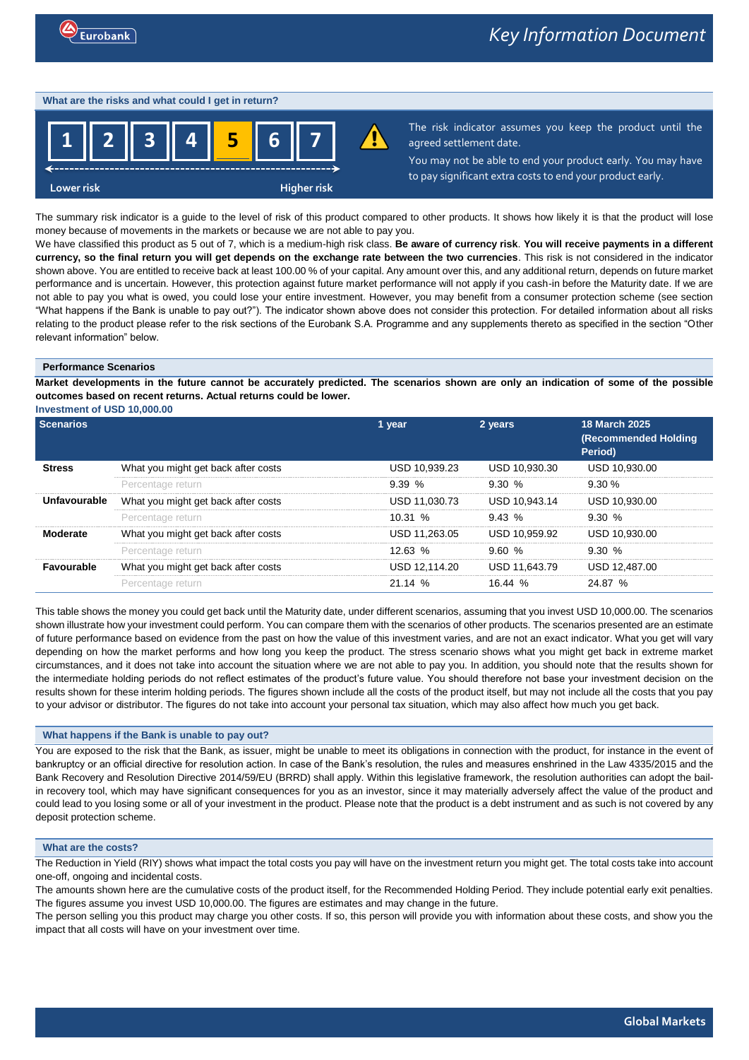### **What are the risks and what could I get in return?**



The risk indicator assumes you keep the product until the agreed settlement date.

You may not be able to end your product early. You may have to pay significant extra costs to end your product early.

The summary risk indicator is a guide to the level of risk of this product compared to other products. It shows how likely it is that the product will lose money because of movements in the markets or because we are not able to pay you.

We have classified this product as 5 out of 7, which is a medium-high risk class. **Be aware of currency risk**. **You will receive payments in a different currency, so the final return you will get depends on the exchange rate between the two currencies**. This risk is not considered in the indicator shown above. You are entitled to receive back at least 100.00 % of your capital. Any amount over this, and any additional return, depends on future market performance and is uncertain. However, this protection against future market performance will not apply if you cash-in before the Maturity date. If we are not able to pay you what is owed, you could lose your entire investment. However, you may benefit from a consumer protection scheme (see section "What happens if the Bank is unable to pay out?"). The indicator shown above does not consider this protection. For detailed information about all risks relating to the product please refer to the risk sections of the Eurobank S.A. Programme and any supplements thereto as specified in the section "Other relevant information" below.

### **Performance Scenarios**

**Market developments in the future cannot be accurately predicted. The scenarios shown are only an indication of some of the possible outcomes based on recent returns. Actual returns could be lower.**

**Investment of USD 10,000.00**

| <b>Scenarios</b>  |                                     | 1 year        | 2 years       | <b>18 March 2025</b><br><b>(Recommended Holding</b><br>Period) |
|-------------------|-------------------------------------|---------------|---------------|----------------------------------------------------------------|
| Stress            | What you might get back after costs | USD 10.939.23 | USD 10.930.30 | USD 10.930.00                                                  |
|                   | Percentage return                   | 9.39%         | 9.30%         | $9.30 \%$                                                      |
| Unfavourable      | What you might get back after costs | USD 11.030.73 | USD 10.943.14 | USD 10.930.00                                                  |
|                   | Percentage return                   | 10.31%        | $9.43\%$      | 9.30 %                                                         |
| Moderate          | What you might get back after costs | USD 11.263.05 | USD 10.959.92 | USD 10.930.00                                                  |
|                   | Percentage return                   | 12.63~%       | 9.60 %        | 9.30%                                                          |
| <b>Favourable</b> | What you might get back after costs | USD 12.114.20 | USD 11.643.79 | USD 12.487.00                                                  |
|                   | Percentage return                   | 21.14%        | 16.44~%       | 24.87 %                                                        |

This table shows the money you could get back until the Maturity date, under different scenarios, assuming that you invest USD 10,000.00. The scenarios shown illustrate how your investment could perform. You can compare them with the scenarios of other products. The scenarios presented are an estimate of future performance based on evidence from the past on how the value of this investment varies, and are not an exact indicator. What you get will vary depending on how the market performs and how long you keep the product. The stress scenario shows what you might get back in extreme market circumstances, and it does not take into account the situation where we are not able to pay you. In addition, you should note that the results shown for the intermediate holding periods do not reflect estimates of the product's future value. You should therefore not base your investment decision on the results shown for these interim holding periods. The figures shown include all the costs of the product itself, but may not include all the costs that you pay to your advisor or distributor. The figures do not take into account your personal tax situation, which may also affect how much you get back.

## **What happens if the Bank is unable to pay out?**

You are exposed to the risk that the Bank, as issuer, might be unable to meet its obligations in connection with the product, for instance in the event of bankruptcy or an official directive for resolution action. In case of the Bank's resolution, the rules and measures enshrined in the Law 4335/2015 and the Bank Recovery and Resolution Directive 2014/59/EU (BRRD) shall apply. Within this legislative framework, the resolution authorities can adopt the bailin recovery tool, which may have significant consequences for you as an investor, since it may materially adversely affect the value of the product and could lead to you losing some or all of your investment in the product. Please note that the product is a debt instrument and as such is not covered by any deposit protection scheme.

## **What are the costs?**

The Reduction in Yield (RIY) shows what impact the total costs you pay will have on the investment return you might get. The total costs take into account one-off, ongoing and incidental costs.

The amounts shown here are the cumulative costs of the product itself, for the Recommended Holding Period. They include potential early exit penalties. The figures assume you invest USD 10,000.00. The figures are estimates and may change in the future.

The person selling you this product may charge you other costs. If so, this person will provide you with information about these costs, and show you the impact that all costs will have on your investment over time.